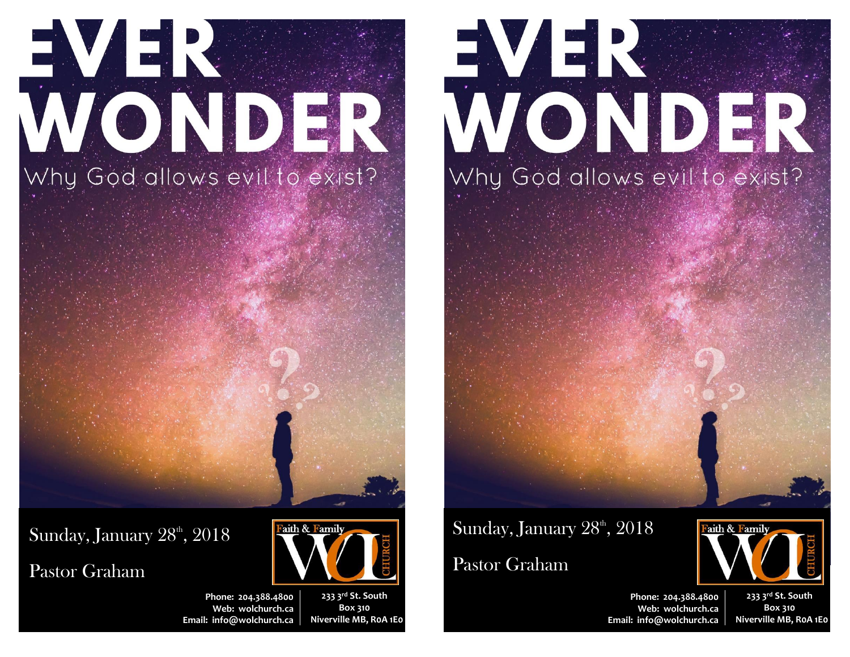# EVE. ONDER Why God allows evil to exist?

 $\rm{Sunday, January\ 28^{\rm\scriptscriptstyle th}, 2018}$ 

Pastor Graham



**233 3rd St. South Box 310 Niverville MB, R0A 1E0**

Faith & Family

## EVER ONDER Why God allows evil to exist?

## Sunday, January  $28^{\textrm{\tiny th}}$ ,  $2018$

### Pastor Graham



**Phone: 204.388.4800 Web: wolchurch.ca Email: [info@wolchurch.ca](mailto:info@wolchurch.ca)**

**233 3rd St. South Box 310 Niverville MB, R0A 1E0**